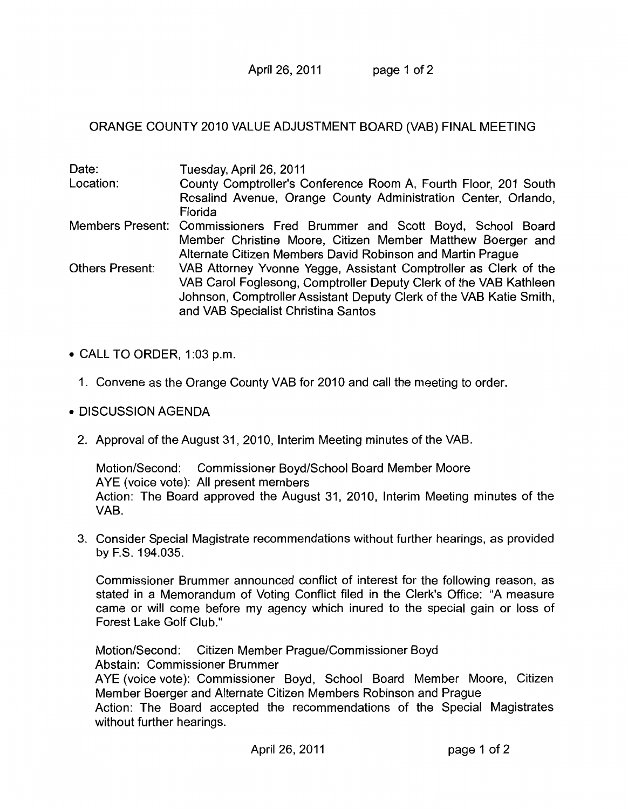April 26, 2011 page 1 of 2

## ORANGE COUNTY 2010 VALUE ADJUSTMENT BOARD (VAB) FINAL MEETING

| Date:                  | Tuesday, April 26, 2011                                                  |
|------------------------|--------------------------------------------------------------------------|
| Location:              | County Comptroller's Conference Room A, Fourth Floor, 201 South          |
|                        | Rosalind Avenue, Orange County Administration Center, Orlando,           |
|                        | Florida                                                                  |
|                        | Members Present: Commissioners Fred Brummer and Scott Boyd, School Board |
|                        | Member Christine Moore, Citizen Member Matthew Boerger and               |
|                        | Alternate Citizen Members David Robinson and Martin Prague               |
| <b>Others Present:</b> | VAB Attorney Yvonne Yegge, Assistant Comptroller as Clerk of the         |
|                        | VAB Carol Foglesong, Comptroller Deputy Clerk of the VAB Kathleen        |
|                        | Johnson, Comptroller Assistant Deputy Clerk of the VAB Katie Smith,      |
|                        | and VAB Specialist Christina Santos                                      |
|                        |                                                                          |

- CALL TO ORDER, 1:03 p.m.
	- 1. Convene as the Orange County VAB for 2010 and call the meeting to order.
- DISCUSSION AGENDA
	- 2. Approval of the August 31, 2010, Interim Meeting minutes of the VAB.

Motion/Second: Commissioner Boyd/School Board Member Moore AYE (voice vote): All present members Action: The Board approved the August 31, 2010, Interim Meeting minutes of the VAB.

3. Consider Special Magistrate recommendations without further hearings, as provided by F.S. 194.035.

Commissioner Brummer announced conflict of interest for the following reason, as stated in a Memorandum of Voting Conflict filed in the Clerk's Office: "A measure came or will come before my agency which inured to the special gain or loss of Forest Lake Golf Club."

Motion/Second: Citizen Member Prague/Commissioner Boyd Abstain: Commissioner Brummer

AYE (voice vote): Commissioner Boyd, School Board Member Moore, Citizen Member Boerger and Alternate Citizen Members Robinson and Prague

Action: The Board accepted the recommendations of the Special Magistrates without further hearings.